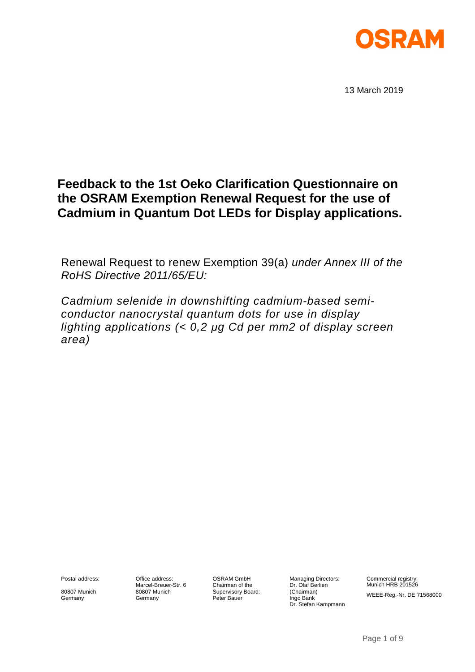

13 March 2019

# **Feedback to the 1st Oeko Clarification Questionnaire on the OSRAM Exemption Renewal Request for the use of Cadmium in Quantum Dot LEDs for Display applications.**

Renewal Request to renew Exemption 39(a) *under Annex III of the RoHS Directive 2011/65/EU:*

*Cadmium selenide in downshifting cadmium-based semiconductor nanocrystal quantum dots for use in display lighting applications (< 0,2 μg Cd per mm2 of display screen area)*

Postal address:

80807 Munich Germany

Office address: Marcel-Breuer-Str. 6 80807 Munich Germany

OSRAM GmbH Chairman of the Supervisory Board: Peter Bauer

Managing Directors: Dr. Olaf Berlien (Chairman) Ingo Bank Dr. Stefan Kampmann Commercial registry: Munich HRB 201526 WEEE-Reg.-Nr. DE 71568000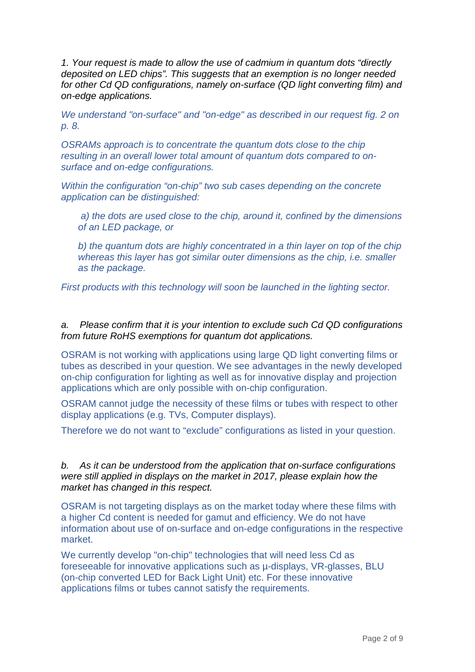*1. Your request is made to allow the use of cadmium in quantum dots "directly deposited on LED chips". This suggests that an exemption is no longer needed for other Cd QD configurations, namely on-surface (QD light converting film) and on-edge applications.*

*We understand "on-surface" and "on-edge" as described in our request fig. 2 on p. 8.*

*OSRAMs approach is to concentrate the quantum dots close to the chip resulting in an overall lower total amount of quantum dots compared to onsurface and on-edge configurations.*

*Within the configuration "on-chip" two sub cases depending on the concrete application can be distinguished:*

*a) the dots are used close to the chip, around it, confined by the dimensions of an LED package, or* 

*b) the quantum dots are highly concentrated in a thin layer on top of the chip whereas this layer has got similar outer dimensions as the chip, i.e. smaller as the package.*

*First products with this technology will soon be launched in the lighting sector.*

*a. Please confirm that it is your intention to exclude such Cd QD configurations from future RoHS exemptions for quantum dot applications.*

OSRAM is not working with applications using large QD light converting films or tubes as described in your question. We see advantages in the newly developed on-chip configuration for lighting as well as for innovative display and projection applications which are only possible with on-chip configuration.

OSRAM cannot judge the necessity of these films or tubes with respect to other display applications (e.g. TVs, Computer displays).

Therefore we do not want to "exclude" configurations as listed in your question.

# *b. As it can be understood from the application that on-surface configurations were still applied in displays on the market in 2017, please explain how the market has changed in this respect.*

OSRAM is not targeting displays as on the market today where these films with a higher Cd content is needed for gamut and efficiency. We do not have information about use of on-surface and on-edge configurations in the respective market.

We currently develop "on-chip" technologies that will need less Cd as foreseeable for innovative applications such as µ-displays, VR-glasses, BLU (on-chip converted LED for Back Light Unit) etc. For these innovative applications films or tubes cannot satisfy the requirements.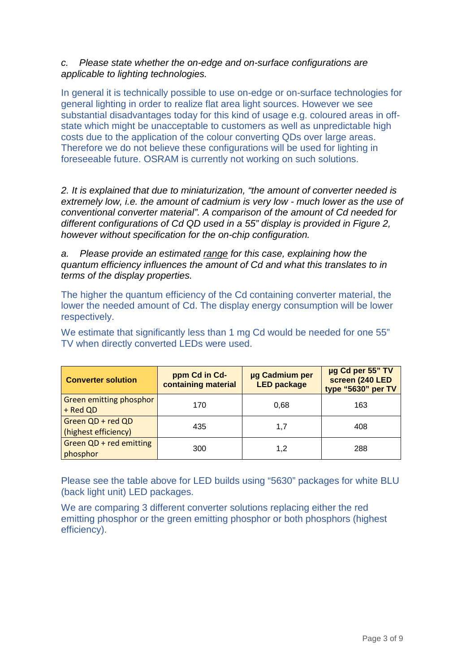# *c. Please state whether the on-edge and on-surface configurations are applicable to lighting technologies.*

In general it is technically possible to use on-edge or on-surface technologies for general lighting in order to realize flat area light sources. However we see substantial disadvantages today for this kind of usage e.g. coloured areas in offstate which might be unacceptable to customers as well as unpredictable high costs due to the application of the colour converting QDs over large areas. Therefore we do not believe these configurations will be used for lighting in foreseeable future. OSRAM is currently not working on such solutions.

*2. It is explained that due to miniaturization, "the amount of converter needed is extremely low, i.e. the amount of cadmium is very low - much lower as the use of conventional converter material". A comparison of the amount of Cd needed for different configurations of Cd QD used in a 55" display is provided in Figure 2, however without specification for the on-chip configuration.* 

*a. Please provide an estimated range for this case, explaining how the quantum efficiency influences the amount of Cd and what this translates to in terms of the display properties.*

The higher the quantum efficiency of the Cd containing converter material, the lower the needed amount of Cd. The display energy consumption will be lower respectively.

We estimate that significantly less than 1 mg Cd would be needed for one 55" TV when directly converted LEDs were used.

| <b>Converter solution</b>                 | ppm Cd in Cd-<br>containing material | µg Cadmium per<br><b>LED package</b> | µg Cd per 55" TV<br>screen (240 LED<br>type "5630" per TV |
|-------------------------------------------|--------------------------------------|--------------------------------------|-----------------------------------------------------------|
| Green emitting phosphor<br>+ Red QD       | 170                                  | 0,68                                 | 163                                                       |
| Green QD + red QD<br>(highest efficiency) | 435                                  | 1,7                                  | 408                                                       |
| Green QD + red emitting<br>phosphor       | 300                                  | 1,2                                  | 288                                                       |

Please see the table above for LED builds using "5630" packages for white BLU (back light unit) LED packages.

We are comparing 3 different converter solutions replacing either the red emitting phosphor or the green emitting phosphor or both phosphors (highest efficiency).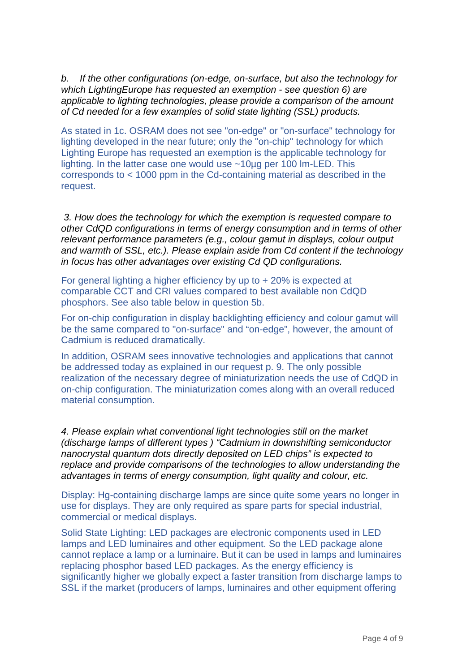*b. If the other configurations (on-edge, on-surface, but also the technology for which LightingEurope has requested an exemption - see question 6) are applicable to lighting technologies, please provide a comparison of the amount of Cd needed for a few examples of solid state lighting (SSL) products.*

As stated in 1c. OSRAM does not see "on-edge" or "on-surface" technology for lighting developed in the near future; only the "on-chip" technology for which Lighting Europe has requested an exemption is the applicable technology for lighting. In the latter case one would use ~10µg per 100 lm-LED. This corresponds to < 1000 ppm in the Cd-containing material as described in the request.

*3. How does the technology for which the exemption is requested compare to other CdQD configurations in terms of energy consumption and in terms of other relevant performance parameters (e.g., colour gamut in displays, colour output and warmth of SSL, etc.). Please explain aside from Cd content if the technology in focus has other advantages over existing Cd QD configurations.*

For general lighting a higher efficiency by up to + 20% is expected at comparable CCT and CRI values compared to best available non CdQD phosphors. See also table below in question 5b.

For on-chip configuration in display backlighting efficiency and colour gamut will be the same compared to "on-surface" and "on-edge", however, the amount of Cadmium is reduced dramatically.

In addition, OSRAM sees innovative technologies and applications that cannot be addressed today as explained in our request p. 9. The only possible realization of the necessary degree of miniaturization needs the use of CdQD in on-chip configuration. The miniaturization comes along with an overall reduced material consumption.

*4. Please explain what conventional light technologies still on the market (discharge lamps of different types ) "Cadmium in downshifting semiconductor nanocrystal quantum dots directly deposited on LED chips" is expected to replace and provide comparisons of the technologies to allow understanding the advantages in terms of energy consumption, light quality and colour, etc.*

Display: Hg-containing discharge lamps are since quite some years no longer in use for displays. They are only required as spare parts for special industrial, commercial or medical displays.

Solid State Lighting: LED packages are electronic components used in LED lamps and LED luminaires and other equipment. So the LED package alone cannot replace a lamp or a luminaire. But it can be used in lamps and luminaires replacing phosphor based LED packages. As the energy efficiency is significantly higher we globally expect a faster transition from discharge lamps to SSL if the market (producers of lamps, luminaires and other equipment offering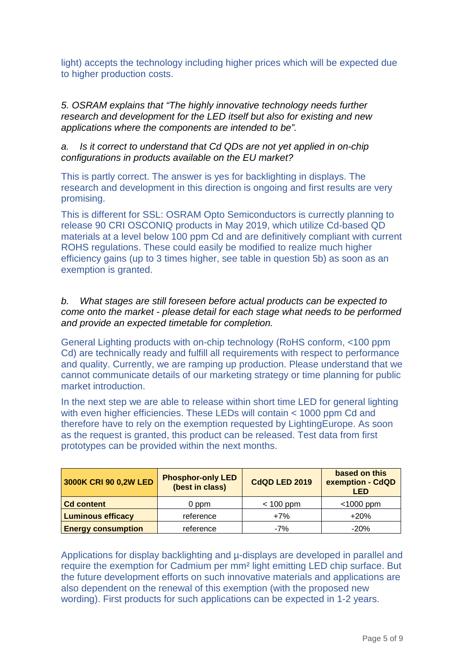light) accepts the technology including higher prices which will be expected due to higher production costs.

*5. OSRAM explains that "The highly innovative technology needs further research and development for the LED itself but also for existing and new applications where the components are intended to be".* 

*a. Is it correct to understand that Cd QDs are not yet applied in on-chip configurations in products available on the EU market?*

This is partly correct. The answer is yes for backlighting in displays. The research and development in this direction is ongoing and first results are very promising.

This is different for SSL: OSRAM Opto Semiconductors is currectly planning to release 90 CRI OSCONIQ products in May 2019, which utilize Cd-based QD materials at a level below 100 ppm Cd and are definitively compliant with current ROHS regulations. These could easily be modified to realize much higher efficiency gains (up to 3 times higher, see table in question 5b) as soon as an exemption is granted.

# *b. What stages are still foreseen before actual products can be expected to come onto the market - please detail for each stage what needs to be performed and provide an expected timetable for completion.*

General Lighting products with on-chip technology (RoHS conform, <100 ppm Cd) are technically ready and fulfill all requirements with respect to performance and quality. Currently, we are ramping up production. Please understand that we cannot communicate details of our marketing strategy or time planning for public market introduction.

In the next step we are able to release within short time LED for general lighting with even higher efficiencies. These LEDs will contain < 1000 ppm Cd and therefore have to rely on the exemption requested by LightingEurope. As soon as the request is granted, this product can be released. Test data from first prototypes can be provided within the next months.

| 3000K CRI 90 0,2W LED     | <b>Phosphor-only LED</b><br>(best in class) | <b>CdQD LED 2019</b> | based on this<br>exemption - CdQD<br>LED |
|---------------------------|---------------------------------------------|----------------------|------------------------------------------|
| <b>Cd content</b>         | 0 ppm                                       | $< 100$ ppm          | $<$ 1000 ppm                             |
| <b>Luminous efficacy</b>  | reference                                   | $+7%$                | $+20%$                                   |
| <b>Energy consumption</b> | reference                                   | $-7%$                | $-20%$                                   |

Applications for display backlighting and µ-displays are developed in parallel and require the exemption for Cadmium per mm² light emitting LED chip surface. But the future development efforts on such innovative materials and applications are also dependent on the renewal of this exemption (with the proposed new wording). First products for such applications can be expected in 1-2 years.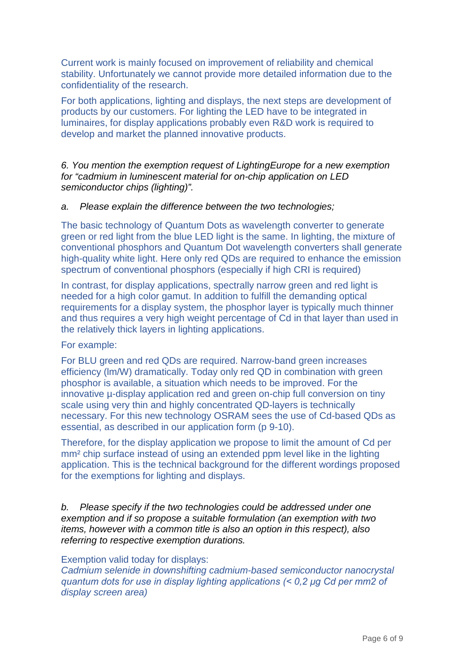Current work is mainly focused on improvement of reliability and chemical stability. Unfortunately we cannot provide more detailed information due to the confidentiality of the research.

For both applications, lighting and displays, the next steps are development of products by our customers. For lighting the LED have to be integrated in luminaires, for display applications probably even R&D work is required to develop and market the planned innovative products.

*6. You mention the exemption request of LightingEurope for a new exemption for "cadmium in luminescent material for on-chip application on LED semiconductor chips (lighting)".* 

#### *a. Please explain the difference between the two technologies;*

The basic technology of Quantum Dots as wavelength converter to generate green or red light from the blue LED light is the same. In lighting, the mixture of conventional phosphors and Quantum Dot wavelength converters shall generate high-quality white light. Here only red QDs are required to enhance the emission spectrum of conventional phosphors (especially if high CRI is required)

In contrast, for display applications, spectrally narrow green and red light is needed for a high color gamut. In addition to fulfill the demanding optical requirements for a display system, the phosphor layer is typically much thinner and thus requires a very high weight percentage of Cd in that layer than used in the relatively thick layers in lighting applications.

#### For example:

For BLU green and red QDs are required. Narrow-band green increases efficiency (lm/W) dramatically. Today only red QD in combination with green phosphor is available, a situation which needs to be improved. For the innovative µ-display application red and green on-chip full conversion on tiny scale using very thin and highly concentrated QD-layers is technically necessary. For this new technology OSRAM sees the use of Cd-based QDs as essential, as described in our application form (p 9-10).

Therefore, for the display application we propose to limit the amount of Cd per mm² chip surface instead of using an extended ppm level like in the lighting application. This is the technical background for the different wordings proposed for the exemptions for lighting and displays.

*b. Please specify if the two technologies could be addressed under one exemption and if so propose a suitable formulation (an exemption with two items, however with a common title is also an option in this respect), also referring to respective exemption durations.*

#### Exemption valid today for displays:

*Cadmium selenide in downshifting cadmium-based semiconductor nanocrystal quantum dots for use in display lighting applications (< 0,2 μg Cd per mm2 of display screen area)*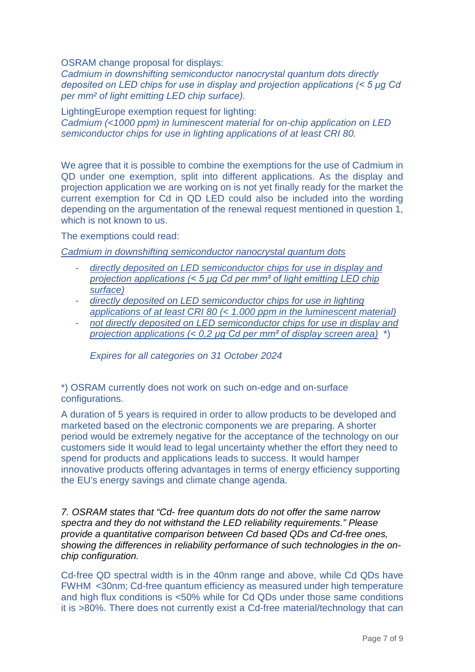OSRAM change proposal for displays:

*Cadmium in downshifting semiconductor nanocrystal quantum dots directly deposited on LED chips for use in display and projection applications (< 5 μg Cd per mm² of light emitting LED chip surface).*

LightingEurope exemption request for lighting: *Cadmium (<1000 ppm) in luminescent material for on-chip application on LED semiconductor chips for use in lighting applications of at least CRI 80.*

We agree that it is possible to combine the exemptions for the use of Cadmium in QD under one exemption, split into different applications. As the display and projection application we are working on is not yet finally ready for the market the current exemption for Cd in QD LED could also be included into the wording depending on the argumentation of the renewal request mentioned in question 1, which is not known to us.

The exemptions could read:

*Cadmium in downshifting semiconductor nanocrystal quantum dots*

- *directly deposited on LED semiconductor chips for use in display and projection applications (< 5 μg Cd per mm² of light emitting LED chip surface)*
- *directly deposited on LED semiconductor chips for use in lighting applications of at least CRI 80 (< 1.000 ppm in the luminescent material)*
- *not directly deposited on LED semiconductor chips for use in display and projection applications (< 0,2 μg Cd per mm² of display screen area)* \*)

*Expires for all categories on 31 October 2024*

\*) OSRAM currently does not work on such on-edge and on-surface configurations.

A duration of 5 years is required in order to allow products to be developed and marketed based on the electronic components we are preparing. A shorter period would be extremely negative for the acceptance of the technology on our customers side It would lead to legal uncertainty whether the effort they need to spend for products and applications leads to success. It would hamper innovative products offering advantages in terms of energy efficiency supporting the EU's energy savings and climate change agenda.

*7. OSRAM states that "Cd- free quantum dots do not offer the same narrow spectra and they do not withstand the LED reliability requirements." Please provide a quantitative comparison between Cd based QDs and Cd-free ones, showing the differences in reliability performance of such technologies in the onchip configuration.*

Cd-free QD spectral width is in the 40nm range and above, while Cd QDs have FWHM <30nm; Cd-free quantum efficiency as measured under high temperature and high flux conditions is <50% while for Cd QDs under those same conditions it is >80%. There does not currently exist a Cd-free material/technology that can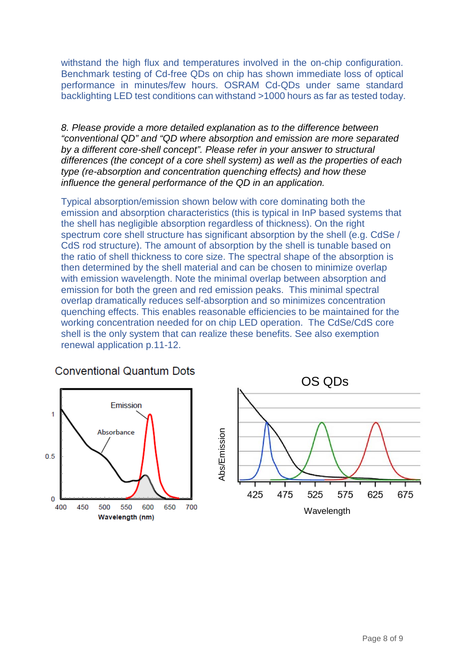withstand the high flux and temperatures involved in the on-chip configuration. Benchmark testing of Cd-free QDs on chip has shown immediate loss of optical performance in minutes/few hours. OSRAM Cd-QDs under same standard backlighting LED test conditions can withstand >1000 hours as far as tested today.

*8. Please provide a more detailed explanation as to the difference between "conventional QD" and "QD where absorption and emission are more separated by a different core-shell concept". Please refer in your answer to structural differences (the concept of a core shell system) as well as the properties of each type (re-absorption and concentration quenching effects) and how these influence the general performance of the QD in an application.*

Typical absorption/emission shown below with core dominating both the emission and absorption characteristics (this is typical in InP based systems that the shell has negligible absorption regardless of thickness). On the right spectrum core shell structure has significant absorption by the shell (e.g. CdSe / CdS rod structure). The amount of absorption by the shell is tunable based on the ratio of shell thickness to core size. The spectral shape of the absorption is then determined by the shell material and can be chosen to minimize overlap with emission wavelength. Note the minimal overlap between absorption and emission for both the green and red emission peaks. This minimal spectral overlap dramatically reduces self-absorption and so minimizes concentration quenching effects. This enables reasonable efficiencies to be maintained for the working concentration needed for on chip LED operation. The CdSe/CdS core shell is the only system that can realize these benefits. See also exemption renewal application p.11-12.





# **Conventional Quantum Dots**